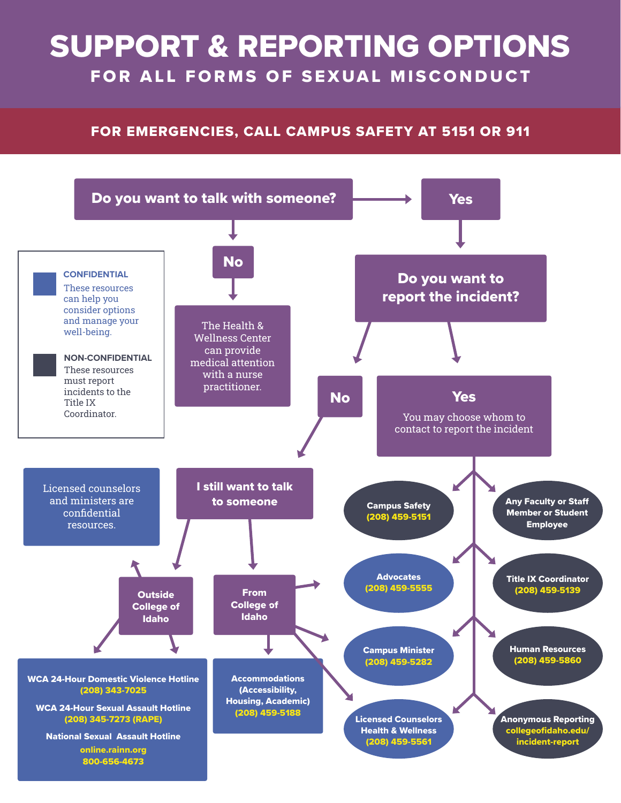# SUPPORT & REPORTING OPTIONS FOR ALL FORMS OF SEXUAL MISCONDUCT

### FOR EMERGENCIES, CALL CAMPUS SAFETY AT 5151 OR 911